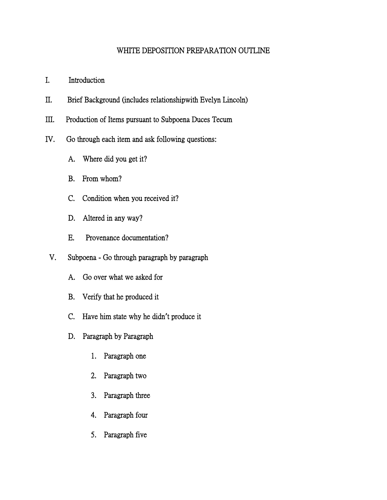## WHITE DEPOSITION PREPARATION OUTLINE

- I. Introduction
- II. Brief Background (includes relationshipwith Evelyn Lincoln)
- III. Production of Items pursuant to Subpoena Duces Tecum
- IV. Go through each item and ask following questions:
	- A. Where did you get it?
	- B. From whom?
	- C. Condition when you received it?
	- D. Altered in any way?
	- E. Provenance documentation?
	- V. Subpoena Go through paragraph by paragraph
		- A. Go over what we asked for
		- B. Verify that he produced it
		- C. Have him state why he didn**'**t produce it
		- D. Paragraph by Paragraph
			- 1. Paragraph one
			- 2. Paragraph two
			- 3. Paragraph three
			- 4. Paragraph four
			- 5. Paragraph five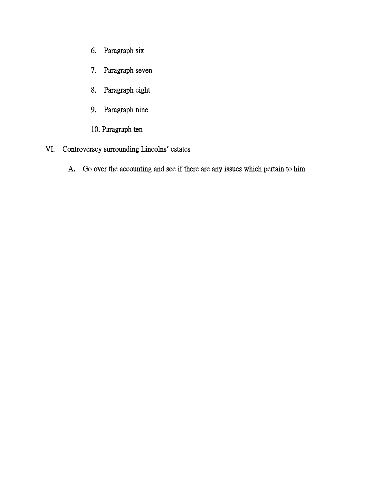- 6. Paragraph six
- 7. Paragraph seven
- 8. Paragraph eight
- 9. Paragraph nine
- 10. Paragraph ten
- VI. Controversey surrounding Lincolns**'** estates
	- A. Go over the accounting and see if there are any issues which pertain to him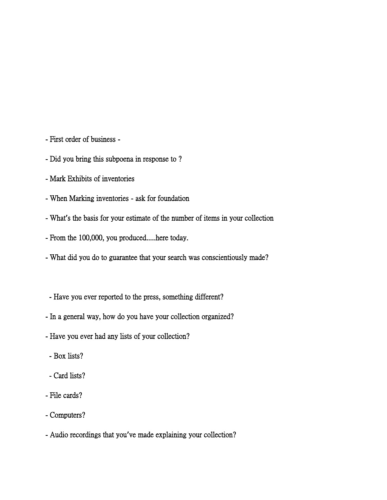- First order of business -
- Did you bring this subpoena in response to ?
- Mark Exhibits of inventories
- When Marking inventories ask for foundation
- What**'**s the basis for your estimate of the number of items in your collection
- From the 100,000, you produced.....here today.
- What did you do to guarantee that your search was conscientiously made?
- Have you ever reported to the press, something different?
- In a general way, how do you have your collection organized?
- Have you ever had any lists of your collection?
	- Box lists?
- Card lists?
- File cards?
- Computers?
- Audio recordings that you**'**ve made explaining your collection?